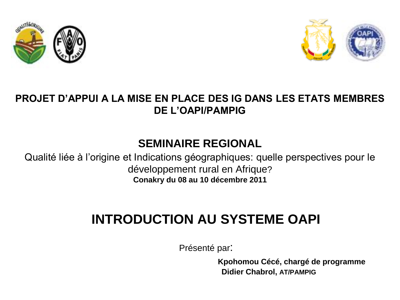



#### **PROJET D'APPUI A LA MISE EN PLACE DES IG DANS LES ETATS MEMBRES DE L'OAPI/PAMPIG**

#### **SEMINAIRE REGIONAL**

Qualité liée à l'origine et Indications géographiques: quelle perspectives pour le développement rural en Afrique? **Conakry du 08 au 10 décembre 2011**

### **INTRODUCTION AU SYSTEME OAPI**

Présenté par:

 **Kpohomou Cécé, chargé de programme Didier Chabrol, AT/PAMPIG**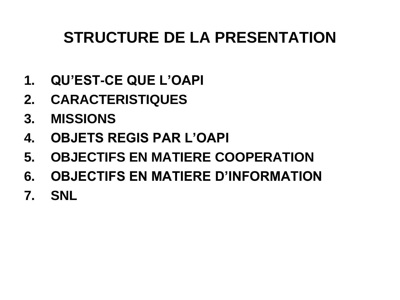## **STRUCTURE DE LA PRESENTATION**

- **1. QU'EST-CE QUE L'OAPI**
- **2. CARACTERISTIQUES**
- **3. MISSIONS**
- **4. OBJETS REGIS PAR L'OAPI**
- **5. OBJECTIFS EN MATIERE COOPERATION**
- **6. OBJECTIFS EN MATIERE D'INFORMATION**
- **7. SNL**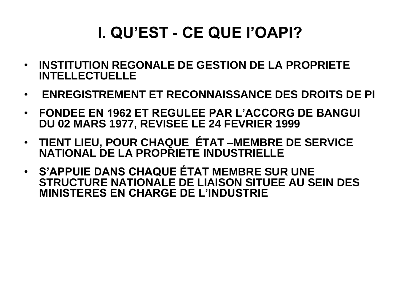## **I. QU'EST - CE QUE l'OAPI?**

- **INSTITUTION REGONALE DE GESTION DE LA PROPRIETE INTELLECTUELLE**
- **ENREGISTREMENT ET RECONNAISSANCE DES DROITS DE PI**
- **FONDEE EN 1962 ET REGULEE PAR L'ACCORG DE BANGUI DU 02 MARS 1977, REVISEE LE 24 FEVRIER 1999**
- **TIENT LIEU, POUR CHAQUE ÉTAT –MEMBRE DE SERVICE NATIONAL DE LA PROPRIETE INDUSTRIELLE**
- **S'APPUIE DANS CHAQUE ÉTAT MEMBRE SUR UNE STRUCTURE NATIONALE DE LIAISON SITUEE AU SEIN DES MINISTERES EN CHARGE DE L'INDUSTRIE**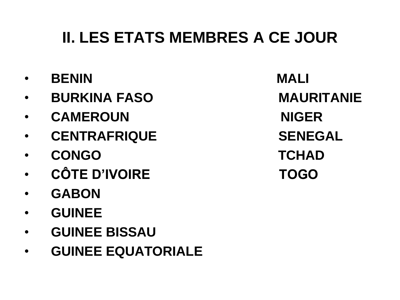## **II. LES ETATS MEMBRES A CE JOUR**

- **BENIN MALI**
- **BURKINA FASO MAURITANIE**
- CAMEROUN NIGER
- CENTRAFRIQUE SENEGAL
- **CONGO TCHAD**
- **CÔTE D'IVOIRE TOGO**
- **GABON**
- **GUINEE**
- **GUINEE BISSAU**
- **GUINEE EQUATORIALE**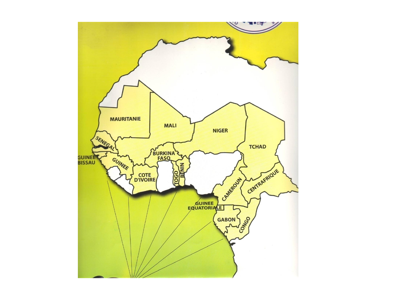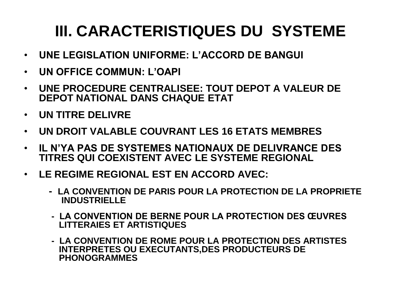# **III. CARACTERISTIQUES DU SYSTEME**

- **UNE LEGISLATION UNIFORME: L'ACCORD DE BANGUI**
- **UN OFFICE COMMUN: L'OAPI**
- **UNE PROCEDURE CENTRALISEE: TOUT DEPOT A VALEUR DE DEPOT NATIONAL DANS CHAQUE ETAT**
- **UN TITRE DELIVRE**
- **UN DROIT VALABLE COUVRANT LES 16 ETATS MEMBRES**
- **IL N'YA PAS DE SYSTEMES NATIONAUX DE DELIVRANCE DES TITRES QUI COEXISTENT AVEC LE SYSTEME REGIONAL**
- **LE REGIME REGIONAL EST EN ACCORD AVEC:**
	- **LA CONVENTION DE PARIS POUR LA PROTECTION DE LA PROPRIETE INDUSTRIELLE**
	- **LA CONVENTION DE BERNE POUR LA PROTECTION DES ŒUVRES LITTERAIES ET ARTISTIQUES**
	- **LA CONVENTION DE ROME POUR LA PROTECTION DES ARTISTES INTERPRETES OU EXECUTANTS,DES PRODUCTEURS DE PHONOGRAMMES**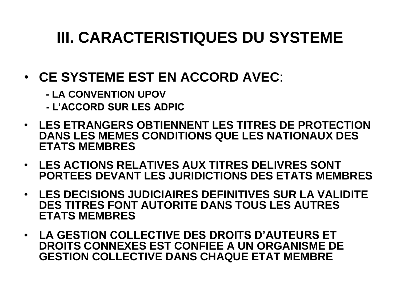## **III. CARACTERISTIQUES DU SYSTEME**

- **CE SYSTEME EST EN ACCORD AVEC**:
	- **- LA CONVENTION UPOV**
	- **- L'ACCORD SUR LES ADPIC**
- **LES ETRANGERS OBTIENNENT LES TITRES DE PROTECTION DANS LES MEMES CONDITIONS QUE LES NATIONAUX DES ETATS MEMBRES**
- **LES ACTIONS RELATIVES AUX TITRES DELIVRES SONT PORTEES DEVANT LES JURIDICTIONS DES ETATS MEMBRES**
- **LES DECISIONS JUDICIAIRES DEFINITIVES SUR LA VALIDITE DES TITRES FONT AUTORITE DANS TOUS LES AUTRES ETATS MEMBRES**
- **LA GESTION COLLECTIVE DES DROITS D'AUTEURS ET DROITS CONNEXES EST CONFIEE A UN ORGANISME DE GESTION COLLECTIVE DANS CHAQUE ETAT MEMBRE**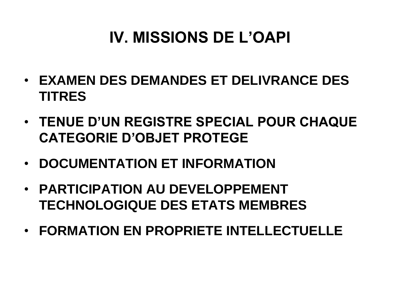## **IV. MISSIONS DE L'OAPI**

- **EXAMEN DES DEMANDES ET DELIVRANCE DES TITRES**
- **TENUE D'UN REGISTRE SPECIAL POUR CHAQUE CATEGORIE D'OBJET PROTEGE**
- **DOCUMENTATION ET INFORMATION**
- **PARTICIPATION AU DEVELOPPEMENT TECHNOLOGIQUE DES ETATS MEMBRES**
- **FORMATION EN PROPRIETE INTELLECTUELLE**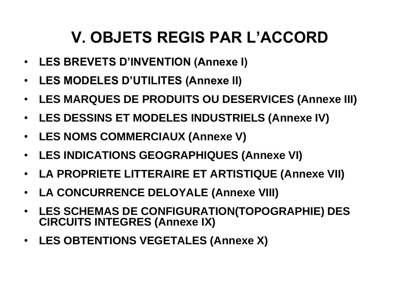## **V. OBJETS REGIS PAR L'ACCORD**

- **LES BREVETS D'INVENTION (Annexe I)**
- **LES MODELES D'UTILITES (Annexe II)**
- **LES MARQUES DE PRODUITS OU DESERVICES (Annexe III)**
- **LES DESSINS ET MODELES INDUSTRIELS (Annexe IV)**
- **LES NOMS COMMERCIAUX (Annexe V)**
- **LES INDICATIONS GEOGRAPHIQUES (Annexe VI)**
- **LA PROPRIETE LITTERAIRE ET ARTISTIQUE (Annexe VII)**
- **LA CONCURRENCE DELOYALE (Annexe VIII)**
- **LES SCHEMAS DE CONFIGURATION(TOPOGRAPHIE) DES CIRCUITS INTEGRES (Annexe IX)**
- **LES OBTENTIONS VEGETALES (Annexe X)**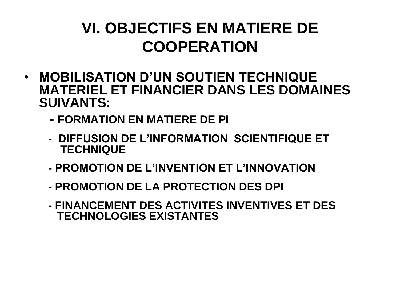## **VI. OBJECTIFS EN MATIERE DE COOPERATION**

- **MOBILISATION D'UN SOUTIEN TECHNIQUE MATERIEL ET FINANCIER DANS LES DOMAINES SUIVANTS:**
	- **- FORMATION EN MATIERE DE PI**
	- **DIFFUSION DE L'INFORMATION SCIENTIFIQUE ET TECHNIQUE**
	- **- PROMOTION DE L'INVENTION ET L'INNOVATION**
	- **- PROMOTION DE LA PROTECTION DES DPI**
	- **- FINANCEMENT DES ACTIVITES INVENTIVES ET DES TECHNOLOGIES EXISTANTES**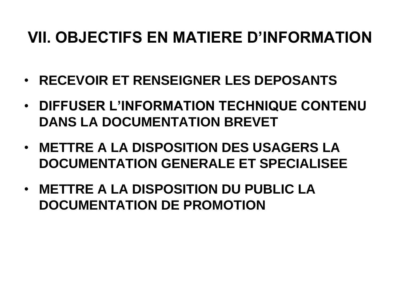## **VII. OBJECTIFS EN MATIERE D'INFORMATION**

- **RECEVOIR ET RENSEIGNER LES DEPOSANTS**
- **DIFFUSER L'INFORMATION TECHNIQUE CONTENU DANS LA DOCUMENTATION BREVET**
- **METTRE A LA DISPOSITION DES USAGERS LA DOCUMENTATION GENERALE ET SPECIALISEE**
- **METTRE A LA DISPOSITION DU PUBLIC LA DOCUMENTATION DE PROMOTION**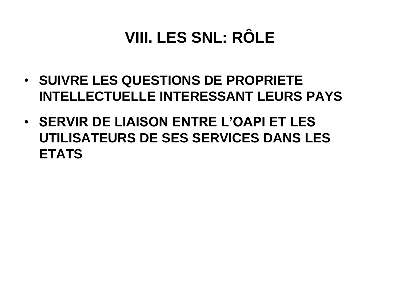# **VIII. LES SNL: RÔLE**

- **SUIVRE LES QUESTIONS DE PROPRIETE INTELLECTUELLE INTERESSANT LEURS PAYS**
- **SERVIR DE LIAISON ENTRE L'OAPI ET LES UTILISATEURS DE SES SERVICES DANS LES ETATS**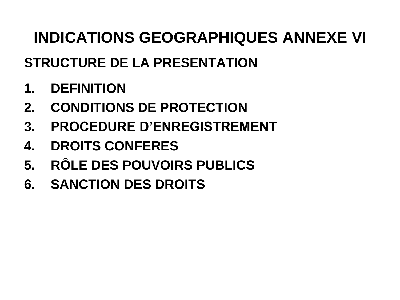## **INDICATIONS GEOGRAPHIQUES ANNEXE VI**

### **STRUCTURE DE LA PRESENTATION**

- **1. DEFINITION**
- **2. CONDITIONS DE PROTECTION**
- **3. PROCEDURE D'ENREGISTREMENT**
- **4. DROITS CONFERES**
- **5. RÔLE DES POUVOIRS PUBLICS**
- **6. SANCTION DES DROITS**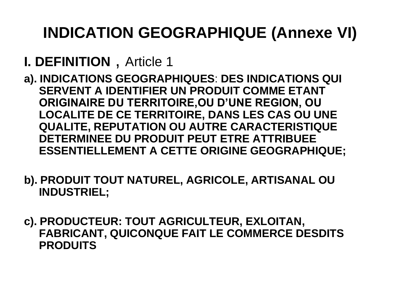# **INDICATION GEOGRAPHIQUE (Annexe VI)**

## **I. DEFINITION** , Article 1

- **a). INDICATIONS GEOGRAPHIQUES**: **DES INDICATIONS QUI SERVENT A IDENTIFIER UN PRODUIT COMME ETANT ORIGINAIRE DU TERRITOIRE,OU D'UNE REGION, OU LOCALITE DE CE TERRITOIRE, DANS LES CAS OU UNE QUALITE, REPUTATION OU AUTRE CARACTERISTIQUE DETERMINEE DU PRODUIT PEUT ETRE ATTRIBUEE ESSENTIELLEMENT A CETTE ORIGINE GEOGRAPHIQUE;**
- **b). PRODUIT TOUT NATUREL, AGRICOLE, ARTISANAL OU INDUSTRIEL;**
- **c). PRODUCTEUR: TOUT AGRICULTEUR, EXLOITAN, FABRICANT, QUICONQUE FAIT LE COMMERCE DESDITS PRODUITS**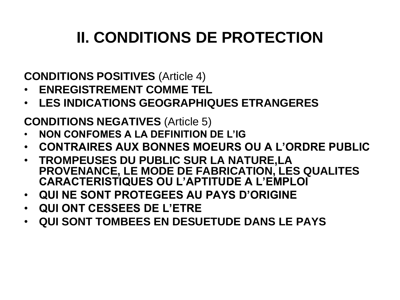# **II. CONDITIONS DE PROTECTION**

**CONDITIONS POSITIVES** (Article 4)

- **ENREGISTREMENT COMME TEL**
- **LES INDICATIONS GEOGRAPHIQUES ETRANGERES**

**CONDITIONS NEGATIVES** (Article 5)

- **NON CONFOMES A LA DEFINITION DE L'IG**
- **CONTRAIRES AUX BONNES MOEURS OU A L'ORDRE PUBLIC**
- **TROMPEUSES DU PUBLIC SUR LA NATURE,LA PROVENANCE, LE MODE DE FABRICATION, LES QUALITES CARACTERISTIQUES OU L'APTITUDE A L'EMPLOI**
- **QUI NE SONT PROTEGEES AU PAYS D'ORIGINE**
- **QUI ONT CESSEES DE L'ETRE**
- **QUI SONT TOMBEES EN DESUETUDE DANS LE PAYS**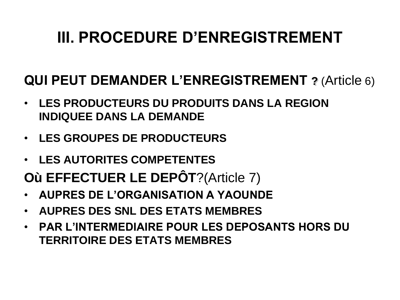## **III. PROCEDURE D'ENREGISTREMENT**

### **QUI PEUT DEMANDER L'ENREGISTREMENT ?** (Article 6)

- **LES PRODUCTEURS DU PRODUITS DANS LA REGION INDIQUEE DANS LA DEMANDE**
- **LES GROUPES DE PRODUCTEURS**
- **LES AUTORITES COMPETENTES**
- **Où EFFECTUER LE DEPÔT**?(Article 7)
- **AUPRES DE L'ORGANISATION A YAOUNDE**
- **AUPRES DES SNL DES ETATS MEMBRES**
- **PAR L'INTERMEDIAIRE POUR LES DEPOSANTS HORS DU TERRITOIRE DES ETATS MEMBRES**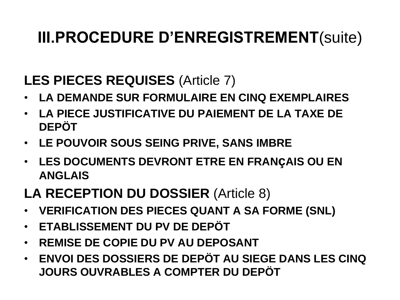#### **LES PIECES REQUISES** (Article 7)

- **LA DEMANDE SUR FORMULAIRE EN CINQ EXEMPLAIRES**
- **LA PIECE JUSTIFICATIVE DU PAIEMENT DE LA TAXE DE DEPÖT**
- **LE POUVOIR SOUS SEING PRIVE, SANS IMBRE**
- **LES DOCUMENTS DEVRONT ETRE EN FRANçAIS OU EN ANGLAIS**

#### **LA RECEPTION DU DOSSIER** (Article 8)

- **VERIFICATION DES PIECES QUANT A SA FORME (SNL)**
- **ETABLISSEMENT DU PV DE DEPÖT**
- **REMISE DE COPIE DU PV AU DEPOSANT**
- **ENVOI DES DOSSIERS DE DEPÖT AU SIEGE DANS LES CINQ JOURS OUVRABLES A COMPTER DU DEPÖT**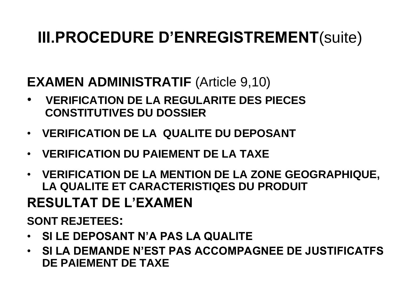#### **EXAMEN ADMINISTRATIF (Article 9,10)**

- **VERIFICATION DE LA REGULARITE DES PIECES CONSTITUTIVES DU DOSSIER**
- **VERIFICATION DE LA QUALITE DU DEPOSANT**
- **VERIFICATION DU PAIEMENT DE LA TAXE**
- **VERIFICATION DE LA MENTION DE LA ZONE GEOGRAPHIQUE, LA QUALITE ET CARACTERISTIQES DU PRODUIT**

#### **RESULTAT DE L'EXAMEN**

#### **SONT REJETEES:**

- **SI LE DEPOSANT N'A PAS LA QUALITE**
- **SI LA DEMANDE N'EST PAS ACCOMPAGNEE DE JUSTIFICATFS DE PAIEMENT DE TAXE**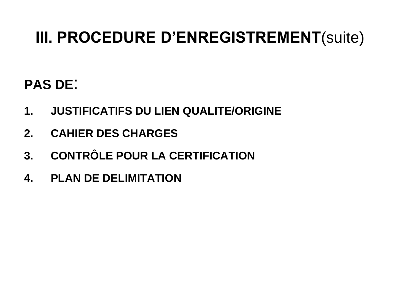#### **PAS DE**:

- **1. JUSTIFICATIFS DU LIEN QUALITE/ORIGINE**
- **2. CAHIER DES CHARGES**
- **3. CONTRÔLE POUR LA CERTIFICATION**
- **4. PLAN DE DELIMITATION**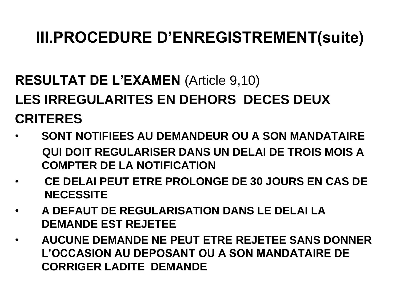## **RESULTAT DE L'EXAMEN (Article 9,10) LES IRREGULARITES EN DEHORS DECES DEUX CRITERES**

- **SONT NOTIFIEES AU DEMANDEUR OU A SON MANDATAIRE QUI DOIT REGULARISER DANS UN DELAI DE TROIS MOIS A COMPTER DE LA NOTIFICATION**
- **CE DELAI PEUT ETRE PROLONGE DE 30 JOURS EN CAS DE NECESSITE**
- **A DEFAUT DE REGULARISATION DANS LE DELAI LA DEMANDE EST REJETEE**
- **AUCUNE DEMANDE NE PEUT ETRE REJETEE SANS DONNER L'OCCASION AU DEPOSANT OU A SON MANDATAIRE DE CORRIGER LADITE DEMANDE**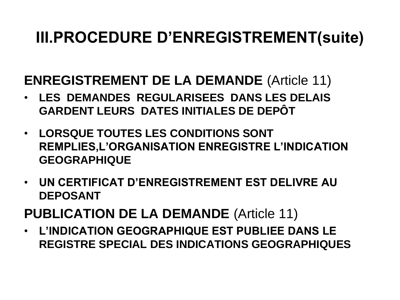#### **ENREGISTREMENT DE LA DEMANDE** (Article 11)

- **LES DEMANDES REGULARISEES DANS LES DELAIS GARDENT LEURS DATES INITIALES DE DEPÔT**
- **LORSQUE TOUTES LES CONDITIONS SONT REMPLIES,L'ORGANISATION ENREGISTRE L'INDICATION GEOGRAPHIQUE**
- **UN CERTIFICAT D'ENREGISTREMENT EST DELIVRE AU DEPOSANT**
- **PUBLICATION DE LA DEMANDE** (Article 11)
- **L'INDICATION GEOGRAPHIQUE EST PUBLIEE DANS LE REGISTRE SPECIAL DES INDICATIONS GEOGRAPHIQUES**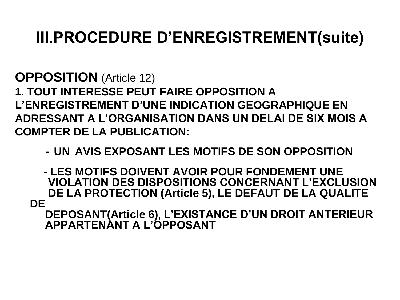**OPPOSITION** (Article 12) **1. TOUT INTERESSE PEUT FAIRE OPPOSITION A L'ENREGISTREMENT D'UNE INDICATION GEOGRAPHIQUE EN ADRESSANT A L'ORGANISATION DANS UN DELAI DE SIX MOIS A COMPTER DE LA PUBLICATION:**

 **- UN AVIS EXPOSANT LES MOTIFS DE SON OPPOSITION**

 **- LES MOTIFS DOIVENT AVOIR POUR FONDEMENT UNE VIOLATION DES DISPOSITIONS CONCERNANT L'EXCLUSION DE LA PROTECTION (Article 5), LE DEFAUT DE LA QUALITE DE** 

 **DEPOSANT(Article 6), L'EXISTANCE D'UN DROIT ANTERIEUR APPARTENANT A L'OPPOSANT**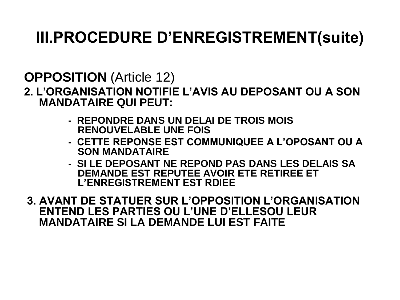**OPPOSITION** (Article 12)

**2. L'ORGANISATION NOTIFIE L'AVIS AU DEPOSANT OU A SON MANDATAIRE QUI PEUT:**

- **REPONDRE DANS UN DELAI DE TROIS MOIS RENOUVELABLE UNE FOIS**
- **CETTE REPONSE EST COMMUNIQUEE A L'OPOSANT OU A SON MANDATAIRE**
- **SI LE DEPOSANT NE REPOND PAS DANS LES DELAIS SA DEMANDE EST REPUTEE AVOIR ETE RETIREE ET L'ENREGISTREMENT EST RDIEE**

**3. AVANT DE STATUER SUR L'OPPOSITION L'ORGANISATION ENTEND LES PARTIES OU L'UNE D'ELLESOU LEUR MANDATAIRE SI LA DEMANDE LUI EST FAITE**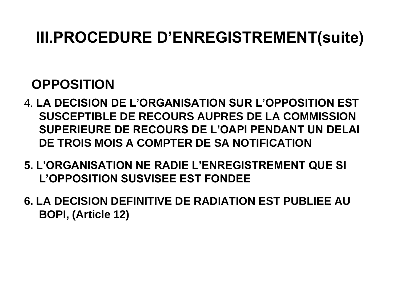#### **OPPOSITION**

- 4. **LA DECISION DE L'ORGANISATION SUR L'OPPOSITION EST SUSCEPTIBLE DE RECOURS AUPRES DE LA COMMISSION SUPERIEURE DE RECOURS DE L'OAPI PENDANT UN DELAI DE TROIS MOIS A COMPTER DE SA NOTIFICATION**
- **5. L'ORGANISATION NE RADIE L'ENREGISTREMENT QUE SI L'OPPOSITION SUSVISEE EST FONDEE**
- **6. LA DECISION DEFINITIVE DE RADIATION EST PUBLIEE AU BOPI, (Article 12)**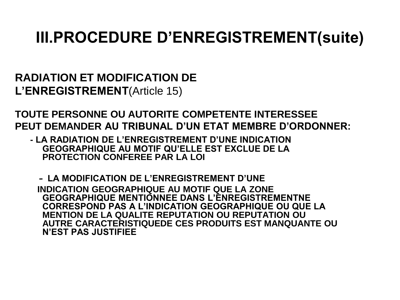**RADIATION ET MODIFICATION DE L'ENREGISTREMENT**(Article 15)

**TOUTE PERSONNE OU AUTORITE COMPETENTE INTERESSEE PEUT DEMANDER AU TRIBUNAL D'UN ETAT MEMBRE D'ORDONNER:**

 **- LA RADIATION DE L'ENREGISTREMENT D'UNE INDICATION GEOGRAPHIQUE AU MOTIF QU'ELLE EST EXCLUE DE LA PROTECTION CONFEREE PAR LA LOI**

 **- LA MODIFICATION DE L'ENREGISTREMENT D'UNE INDICATION GEOGRAPHIQUE AU MOTIF QUE LA ZONE GEOGRAPHIQUE MENTIONNEE DANS L'ENREGISTREMENTNE CORRESPOND PAS A L'INDICATION GEOGRAPHIQUE OU QUE LA MENTION DE LA QUALITE REPUTATION OU REPUTATION OU AUTRE CARACTERISTIQUEDE CES PRODUITS EST MANQUANTE OU N'EST PAS JUSTIFIEE**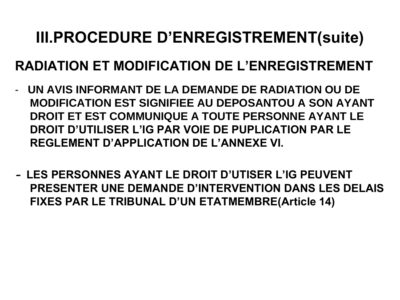#### **RADIATION ET MODIFICATION DE L'ENREGISTREMENT**

- **UN AVIS INFORMANT DE LA DEMANDE DE RADIATION OU DE MODIFICATION EST SIGNIFIEE AU DEPOSANTOU A SON AYANT DROIT ET EST COMMUNIQUE A TOUTE PERSONNE AYANT LE DROIT D'UTILISER L'IG PAR VOIE DE PUPLICATION PAR LE REGLEMENT D'APPLICATION DE L'ANNEXE VI.**
- **- LES PERSONNES AYANT LE DROIT D'UTISER L'IG PEUVENT PRESENTER UNE DEMANDE D'INTERVENTION DANS LES DELAIS FIXES PAR LE TRIBUNAL D'UN ETATMEMBRE(Article 14)**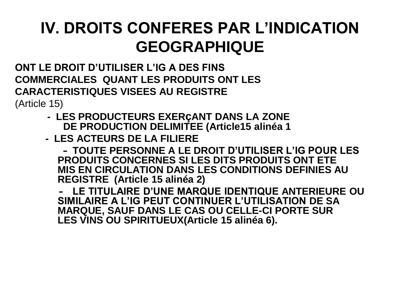## **IV. DROITS CONFERES PAR L'INDICATION GEOGRAPHIQUE**

**ONT LE DROIT D'UTILISER L'IG A DES FINS COMMERCIALES QUANT LES PRODUITS ONT LES CARACTERISTIQUES VISEES AU REGISTRE**

(Article 15)

- **- LES PRODUCTEURS EXERçANT DANS LA ZONE DE PRODUCTION DELIMITEE (Article15 alinéa 1**
- **LES ACTEURS DE LA FILIERE**

 **- TOUTE PERSONNE A LE DROIT D'UTILISER L'IG POUR LES PRODUITS CONCERNES SI LES DITS PRODUITS ONT ETE MIS EN CIRCULATION DANS LES CONDITIONS DEFINIES AU REGISTRE (Article 15 alinéa 2)**

 **- LE TITULAIRE D'UNE MARQUE IDENTIQUE ANTERIEURE OU SIMILAIRE A L'IG PEUT CONTINUER L'UTILISATION DE SA MARQUE, SAUF DANS LE CAS OU CELLE-CI PORTE SUR LES VINS OU SPIRITUEUX(Article 15 alinéa 6).**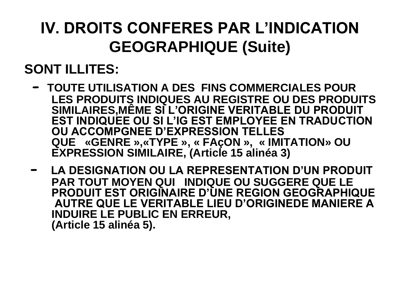## **IV. DROITS CONFERES PAR L'INDICATION GEOGRAPHIQUE (Suite)**

#### **SONT ILLITES:**

- **- TOUTE UTILISATION A DES FINS COMMERCIALES POUR LES PRODUITS INDIQUES AU REGISTRE OU DES PRODUITS SIMILAIRES,MÊME SI L'ORIGINE VERITABLE DU PRODUIT EST INDIQUEE OU SI L'IG EST EMPLOYEE EN TRADUCTION OU ACCOMPGNEE D'EXPRESSION TELLES QUE «GENRE »,«TYPE », « FAçON », « IMITATION» OU EXPRESSION SIMILAIRE, (Article 15 alinéa 3)**
- **- LA DESIGNATION OU LA REPRESENTATION D'UN PRODUIT PAR TOUT MOYEN QUI INDIQUE OU SUGGERE QUE LE PRODUIT EST ORIGINAIRE D'UNE REGION GEOGRAPHIQUE AUTRE QUE LE VERITABLE LIEU D'ORIGINEDE MANIERE A INDUIRE LE PUBLIC EN ERREUR, (Article 15 alinéa 5).**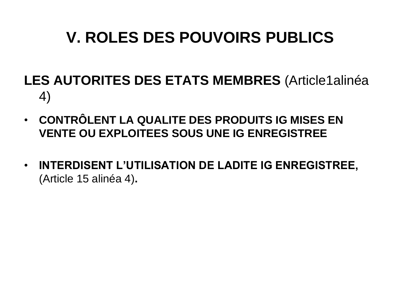## **V. ROLES DES POUVOIRS PUBLICS**

- **LES AUTORITES DES ETATS MEMBRES** (Article1alinéa 4)
- **CONTRÔLENT LA QUALITE DES PRODUITS IG MISES EN VENTE OU EXPLOITEES SOUS UNE IG ENREGISTREE**
- **INTERDISENT L'UTILISATION DE LADITE IG ENREGISTREE,**  (Article 15 alinéa 4)**.**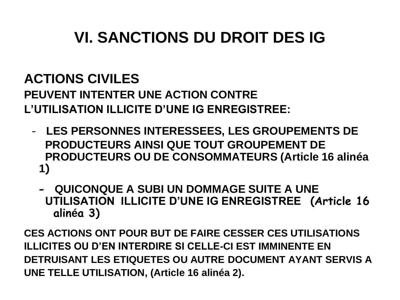## **VI. SANCTIONS DU DROIT DES IG**

#### **ACTIONS CIVILES**

**PEUVENT INTENTER UNE ACTION CONTRE L'UTILISATION ILLICITE D'UNE IG ENREGISTREE:**

- **LES PERSONNES INTERESSEES, LES GROUPEMENTS DE PRODUCTEURS AINSI QUE TOUT GROUPEMENT DE PRODUCTEURS OU DE CONSOMMATEURS (Article 16 alinéa 1)**
	- **QUICONQUE A SUBI UN DOMMAGE SUITE A UNE UTILISATION ILLICITE D'UNE IG ENREGISTREE (Article 16 alinéa 3)**

**CES ACTIONS ONT POUR BUT DE FAIRE CESSER CES UTILISATIONS ILLICITES OU D'EN INTERDIRE SI CELLE-CI EST IMMINENTE EN DETRUISANT LES ETIQUETES OU AUTRE DOCUMENT AYANT SERVIS A UNE TELLE UTILISATION, (Article 16 alinéa 2).**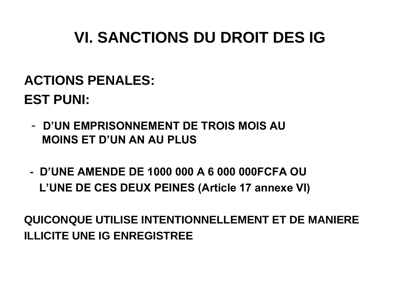## **VI. SANCTIONS DU DROIT DES IG**

## **ACTIONS PENALES: EST PUNI:**

- - **D'UN EMPRISONNEMENT DE TROIS MOIS AU MOINS ET D'UN AN AU PLUS**
- **D'UNE AMENDE DE 1000 000 A 6 000 000FCFA OU L'UNE DE CES DEUX PEINES (Article 17 annexe VI)**

**QUICONQUE UTILISE INTENTIONNELLEMENT ET DE MANIERE ILLICITE UNE IG ENREGISTREE**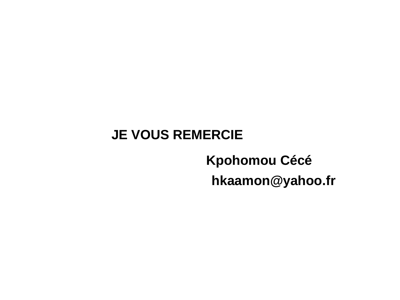#### **JE VOUS REMERCIE**

## **Kpohomou Cécé hkaamon@yahoo.fr**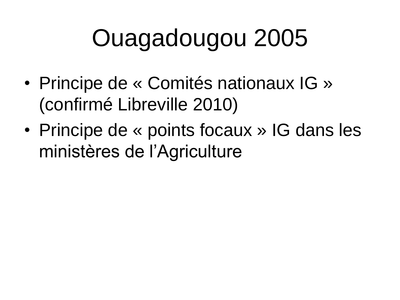# Ouagadougou 2005

- Principe de « Comités nationaux IG » (confirmé Libreville 2010)
- Principe de « points focaux » IG dans les ministères de l'Agriculture